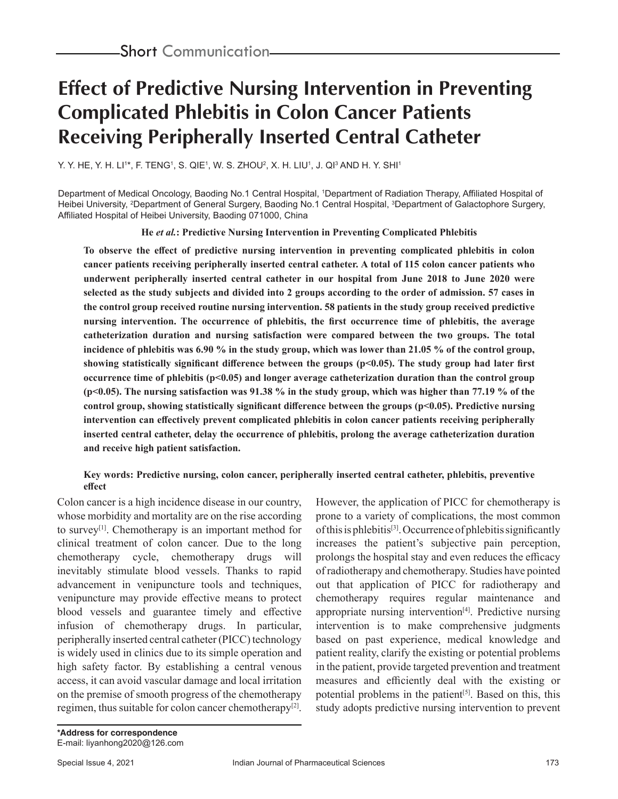# **Effect of Predictive Nursing Intervention in Preventing Complicated Phlebitis in Colon Cancer Patients Receiving Peripherally Inserted Central Catheter**

Y. Y. HE, Y. H. LI'\*, F. TENG', S. QIE', W. S. ZHOU<del>'</del>, X. H. LIU', J. QI<sup>3</sup> AND H. Y. SHI'

Department of Medical Oncology, Baoding No.1 Central Hospital, 1 Department of Radiation Therapy, Affiliated Hospital of Heibei University, <sup>2</sup>Department of General Surgery, Baoding No.1 Central Hospital, <sup>3</sup>Department of Galactophore Surgery, Affiliated Hospital of Heibei University, Baoding 071000, China

**He** *et al.***: Predictive Nursing Intervention in Preventing Complicated Phlebitis**

**To observe the effect of predictive nursing intervention in preventing complicated phlebitis in colon cancer patients receiving peripherally inserted central catheter. A total of 115 colon cancer patients who underwent peripherally inserted central catheter in our hospital from June 2018 to June 2020 were selected as the study subjects and divided into 2 groups according to the order of admission. 57 cases in the control group received routine nursing intervention. 58 patients in the study group received predictive nursing intervention. The occurrence of phlebitis, the first occurrence time of phlebitis, the average catheterization duration and nursing satisfaction were compared between the two groups. The total incidence of phlebitis was 6.90 % in the study group, which was lower than 21.05 % of the control group, showing statistically significant difference between the groups (p<0.05). The study group had later first occurrence time of phlebitis (p<0.05) and longer average catheterization duration than the control group (p<0.05). The nursing satisfaction was 91.38 % in the study group, which was higher than 77.19 % of the control group, showing statistically significant difference between the groups (p<0.05). Predictive nursing intervention can effectively prevent complicated phlebitis in colon cancer patients receiving peripherally inserted central catheter, delay the occurrence of phlebitis, prolong the average catheterization duration and receive high patient satisfaction.**

#### **Key words: Predictive nursing, colon cancer, peripherally inserted central catheter, phlebitis, preventive effect**

Colon cancer is a high incidence disease in our country, whose morbidity and mortality are on the rise according to survey[1]. Chemotherapy is an important method for clinical treatment of colon cancer. Due to the long chemotherapy cycle, chemotherapy drugs will inevitably stimulate blood vessels. Thanks to rapid advancement in venipuncture tools and techniques, venipuncture may provide effective means to protect blood vessels and guarantee timely and effective infusion of chemotherapy drugs. In particular, peripherally inserted central catheter (PICC) technology is widely used in clinics due to its simple operation and high safety factor. By establishing a central venous access, it can avoid vascular damage and local irritation on the premise of smooth progress of the chemotherapy regimen, thus suitable for colon cancer chemotherapy<sup>[2]</sup>. However, the application of PICC for chemotherapy is prone to a variety of complications, the most common of this is phlebitis[3]. Occurrence of phlebitis significantly increases the patient's subjective pain perception, prolongs the hospital stay and even reduces the efficacy of radiotherapy and chemotherapy. Studies have pointed out that application of PICC for radiotherapy and chemotherapy requires regular maintenance and appropriate nursing intervention $[4]$ . Predictive nursing intervention is to make comprehensive judgments based on past experience, medical knowledge and patient reality, clarify the existing or potential problems in the patient, provide targeted prevention and treatment measures and efficiently deal with the existing or potential problems in the patient<sup>[5]</sup>. Based on this, this study adopts predictive nursing intervention to prevent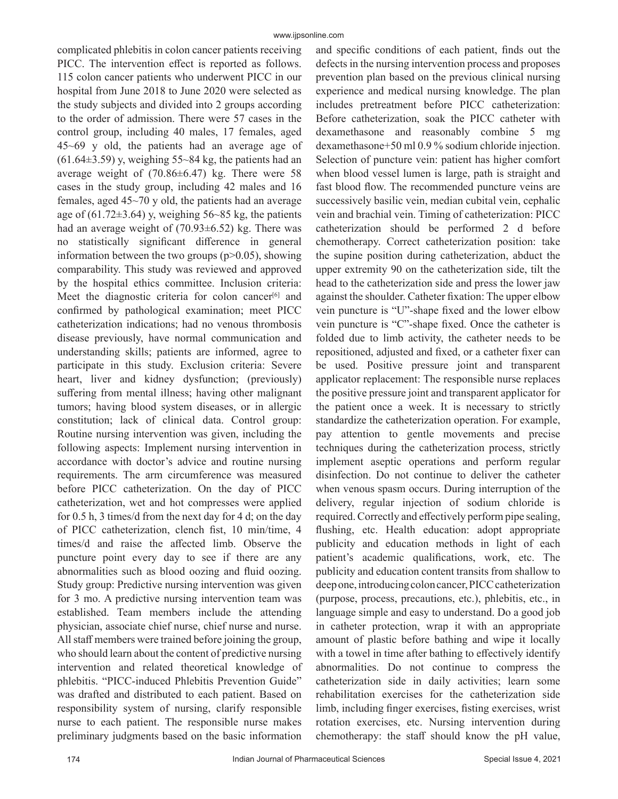complicated phlebitis in colon cancer patients receiving PICC. The intervention effect is reported as follows. 115 colon cancer patients who underwent PICC in our hospital from June 2018 to June 2020 were selected as the study subjects and divided into 2 groups according to the order of admission. There were 57 cases in the control group, including 40 males, 17 females, aged 45~69 y old, the patients had an average age of  $(61.64\pm3.59)$  y, weighing 55~84 kg, the patients had an average weight of  $(70.86\pm6.47)$  kg. There were 58 cases in the study group, including 42 males and 16 females, aged 45~70 y old, the patients had an average age of  $(61.72\pm3.64)$  y, weighing 56~85 kg, the patients had an average weight of  $(70.93\pm6.52)$  kg. There was no statistically significant difference in general information between the two groups  $(p>0.05)$ , showing comparability. This study was reviewed and approved by the hospital ethics committee. Inclusion criteria: Meet the diagnostic criteria for colon cancer<sup>[6]</sup> and confirmed by pathological examination; meet PICC catheterization indications; had no venous thrombosis disease previously, have normal communication and understanding skills; patients are informed, agree to participate in this study. Exclusion criteria: Severe heart, liver and kidney dysfunction; (previously) suffering from mental illness; having other malignant tumors; having blood system diseases, or in allergic constitution; lack of clinical data. Control group: Routine nursing intervention was given, including the following aspects: Implement nursing intervention in accordance with doctor's advice and routine nursing requirements. The arm circumference was measured before PICC catheterization. On the day of PICC catheterization, wet and hot compresses were applied for 0.5 h, 3 times/d from the next day for 4 d; on the day of PICC catheterization, clench fist, 10 min/time, 4 times/d and raise the affected limb. Observe the puncture point every day to see if there are any abnormalities such as blood oozing and fluid oozing. Study group: Predictive nursing intervention was given for 3 mo. A predictive nursing intervention team was established. Team members include the attending physician, associate chief nurse, chief nurse and nurse. All staff members were trained before joining the group, who should learn about the content of predictive nursing intervention and related theoretical knowledge of phlebitis. "PICC-induced Phlebitis Prevention Guide" was drafted and distributed to each patient. Based on responsibility system of nursing, clarify responsible nurse to each patient. The responsible nurse makes preliminary judgments based on the basic information

and specific conditions of each patient, finds out the defects in the nursing intervention process and proposes prevention plan based on the previous clinical nursing experience and medical nursing knowledge. The plan includes pretreatment before PICC catheterization: Before catheterization, soak the PICC catheter with dexamethasone and reasonably combine 5 mg dexamethasone+50 ml 0.9 % sodium chloride injection. Selection of puncture vein: patient has higher comfort when blood vessel lumen is large, path is straight and fast blood flow. The recommended puncture veins are successively basilic vein, median cubital vein, cephalic vein and brachial vein. Timing of catheterization: PICC catheterization should be performed 2 d before chemotherapy. Correct catheterization position: take the supine position during catheterization, abduct the upper extremity 90 on the catheterization side, tilt the head to the catheterization side and press the lower jaw against the shoulder. Catheter fixation: The upper elbow vein puncture is "U"-shape fixed and the lower elbow vein puncture is "C"-shape fixed. Once the catheter is folded due to limb activity, the catheter needs to be repositioned, adjusted and fixed, or a catheter fixer can be used. Positive pressure joint and transparent applicator replacement: The responsible nurse replaces the positive pressure joint and transparent applicator for the patient once a week. It is necessary to strictly standardize the catheterization operation. For example, pay attention to gentle movements and precise techniques during the catheterization process, strictly implement aseptic operations and perform regular disinfection. Do not continue to deliver the catheter when venous spasm occurs. During interruption of the delivery, regular injection of sodium chloride is required. Correctly and effectively perform pipe sealing, flushing, etc. Health education: adopt appropriate publicity and education methods in light of each patient's academic qualifications, work, etc. The publicity and education content transits from shallow to deep one, introducing colon cancer, PICC catheterization (purpose, process, precautions, etc.), phlebitis, etc., in language simple and easy to understand. Do a good job in catheter protection, wrap it with an appropriate amount of plastic before bathing and wipe it locally with a towel in time after bathing to effectively identify abnormalities. Do not continue to compress the catheterization side in daily activities; learn some rehabilitation exercises for the catheterization side limb, including finger exercises, fisting exercises, wrist rotation exercises, etc. Nursing intervention during chemotherapy: the staff should know the pH value,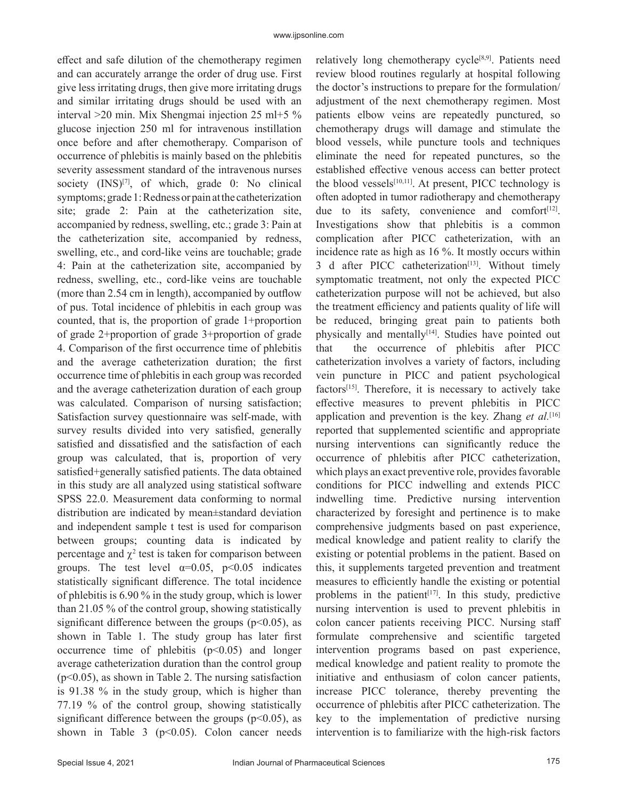effect and safe dilution of the chemotherapy regimen and can accurately arrange the order of drug use. First give less irritating drugs, then give more irritating drugs and similar irritating drugs should be used with an interval >20 min. Mix Shengmai injection 25 ml+5 % glucose injection 250 ml for intravenous instillation once before and after chemotherapy. Comparison of occurrence of phlebitis is mainly based on the phlebitis severity assessment standard of the intravenous nurses society  $(INS)^{[7]}$ , of which, grade 0: No clinical symptoms; grade 1: Redness or pain at the catheterization site; grade 2: Pain at the catheterization site, accompanied by redness, swelling, etc.; grade 3: Pain at the catheterization site, accompanied by redness, swelling, etc., and cord-like veins are touchable; grade 4: Pain at the catheterization site, accompanied by redness, swelling, etc., cord-like veins are touchable (more than 2.54 cm in length), accompanied by outflow of pus. Total incidence of phlebitis in each group was counted, that is, the proportion of grade 1+proportion of grade 2+proportion of grade 3+proportion of grade 4. Comparison of the first occurrence time of phlebitis and the average catheterization duration; the first occurrence time of phlebitis in each group was recorded and the average catheterization duration of each group was calculated. Comparison of nursing satisfaction; Satisfaction survey questionnaire was self-made, with survey results divided into very satisfied, generally satisfied and dissatisfied and the satisfaction of each group was calculated, that is, proportion of very satisfied+generally satisfied patients. The data obtained in this study are all analyzed using statistical software SPSS 22.0. Measurement data conforming to normal distribution are indicated by mean±standard deviation and independent sample t test is used for comparison between groups; counting data is indicated by percentage and  $\chi^2$  test is taken for comparison between groups. The test level  $\alpha=0.05$ ,  $p<0.05$  indicates statistically significant difference. The total incidence of phlebitis is 6.90 % in the study group, which is lower than 21.05 % of the control group, showing statistically significant difference between the groups ( $p$ <0.05), as shown in Table 1. The study group has later first occurrence time of phlebitis  $(p<0.05)$  and longer average catheterization duration than the control group  $(p<0.05)$ , as shown in Table 2. The nursing satisfaction is 91.38 % in the study group, which is higher than 77.19 % of the control group, showing statistically significant difference between the groups ( $p$ <0.05), as shown in Table 3 ( $p$ <0.05). Colon cancer needs

relatively long chemotherapy cycle $[8,9]$ . Patients need review blood routines regularly at hospital following the doctor's instructions to prepare for the formulation/ adjustment of the next chemotherapy regimen. Most patients elbow veins are repeatedly punctured, so chemotherapy drugs will damage and stimulate the blood vessels, while puncture tools and techniques eliminate the need for repeated punctures, so the established effective venous access can better protect the blood vessels<sup>[10,11]</sup>. At present, PICC technology is often adopted in tumor radiotherapy and chemotherapy due to its safety, convenience and comfort $[12]$ . Investigations show that phlebitis is a common complication after PICC catheterization, with an incidence rate as high as 16 %. It mostly occurs within 3 d after PICC catheterization<sup>[13]</sup>. Without timely symptomatic treatment, not only the expected PICC catheterization purpose will not be achieved, but also the treatment efficiency and patients quality of life will be reduced, bringing great pain to patients both physically and mentally<sup>[14]</sup>. Studies have pointed out that the occurrence of phlebitis after PICC catheterization involves a variety of factors, including vein puncture in PICC and patient psychological factors<sup>[15]</sup>. Therefore, it is necessary to actively take effective measures to prevent phlebitis in PICC application and prevention is the key. Zhang *et al.*<sup>[16]</sup> reported that supplemented scientific and appropriate nursing interventions can significantly reduce the occurrence of phlebitis after PICC catheterization, which plays an exact preventive role, provides favorable conditions for PICC indwelling and extends PICC indwelling time. Predictive nursing intervention characterized by foresight and pertinence is to make comprehensive judgments based on past experience, medical knowledge and patient reality to clarify the existing or potential problems in the patient. Based on this, it supplements targeted prevention and treatment measures to efficiently handle the existing or potential problems in the patient<sup>[17]</sup>. In this study, predictive nursing intervention is used to prevent phlebitis in colon cancer patients receiving PICC. Nursing staff formulate comprehensive and scientific targeted intervention programs based on past experience, medical knowledge and patient reality to promote the initiative and enthusiasm of colon cancer patients, increase PICC tolerance, thereby preventing the occurrence of phlebitis after PICC catheterization. The key to the implementation of predictive nursing intervention is to familiarize with the high-risk factors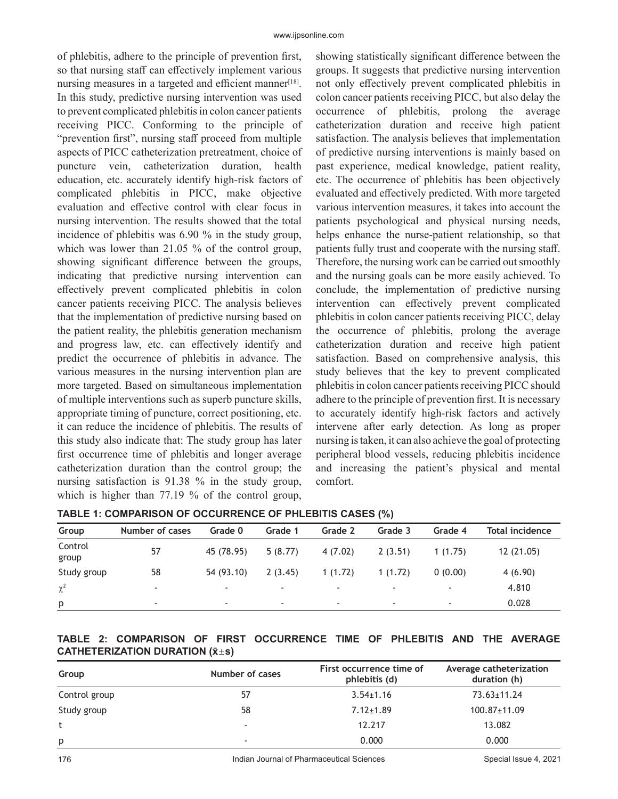of phlebitis, adhere to the principle of prevention first, so that nursing staff can effectively implement various nursing measures in a targeted and efficient manner $[18]$ . In this study, predictive nursing intervention was used to prevent complicated phlebitis in colon cancer patients receiving PICC. Conforming to the principle of "prevention first", nursing staff proceed from multiple aspects of PICC catheterization pretreatment, choice of puncture vein, catheterization duration, health education, etc. accurately identify high-risk factors of complicated phlebitis in PICC, make objective evaluation and effective control with clear focus in nursing intervention. The results showed that the total incidence of phlebitis was 6.90 % in the study group, which was lower than 21.05 % of the control group, showing significant difference between the groups, indicating that predictive nursing intervention can effectively prevent complicated phlebitis in colon cancer patients receiving PICC. The analysis believes that the implementation of predictive nursing based on the patient reality, the phlebitis generation mechanism and progress law, etc. can effectively identify and predict the occurrence of phlebitis in advance. The various measures in the nursing intervention plan are more targeted. Based on simultaneous implementation of multiple interventions such as superb puncture skills, appropriate timing of puncture, correct positioning, etc. it can reduce the incidence of phlebitis. The results of this study also indicate that: The study group has later first occurrence time of phlebitis and longer average catheterization duration than the control group; the nursing satisfaction is 91.38 % in the study group, which is higher than 77.19 % of the control group,

showing statistically significant difference between the groups. It suggests that predictive nursing intervention not only effectively prevent complicated phlebitis in colon cancer patients receiving PICC, but also delay the occurrence of phlebitis, prolong the average catheterization duration and receive high patient satisfaction. The analysis believes that implementation of predictive nursing interventions is mainly based on past experience, medical knowledge, patient reality, etc. The occurrence of phlebitis has been objectively evaluated and effectively predicted. With more targeted various intervention measures, it takes into account the patients psychological and physical nursing needs, helps enhance the nurse-patient relationship, so that patients fully trust and cooperate with the nursing staff. Therefore, the nursing work can be carried out smoothly and the nursing goals can be more easily achieved. To conclude, the implementation of predictive nursing intervention can effectively prevent complicated phlebitis in colon cancer patients receiving PICC, delay the occurrence of phlebitis, prolong the average catheterization duration and receive high patient satisfaction. Based on comprehensive analysis, this study believes that the key to prevent complicated phlebitis in colon cancer patients receiving PICC should adhere to the principle of prevention first. It is necessary to accurately identify high-risk factors and actively intervene after early detection. As long as proper nursing is taken, it can also achieve the goal of protecting peripheral blood vessels, reducing phlebitis incidence and increasing the patient's physical and mental comfort.

| Group            | Number of cases          | Grade 0                  | Grade 1                  | Grade 2                  | Grade 3                  | Grade 4                  | <b>Total incidence</b> |
|------------------|--------------------------|--------------------------|--------------------------|--------------------------|--------------------------|--------------------------|------------------------|
| Control<br>group | 57                       | 45 (78.95)               | 5(8.77)                  | 4(7.02)                  | 2(3.51)                  | 1(1.75)                  | 12(21.05)              |
| Study group      | 58                       | 54 (93.10)               | 2(3.45)                  | 1(1.72)                  | 1(1.72)                  | 0(0.00)                  | 4(6.90)                |
| $\chi^2$         | $\overline{\phantom{a}}$ | $\overline{\phantom{a}}$ | $\overline{\phantom{a}}$ | $\overline{\phantom{a}}$ | $\overline{\phantom{a}}$ |                          | 4.810                  |
| p                | $\overline{\phantom{a}}$ | $\overline{\phantom{a}}$ | $\overline{\phantom{a}}$ | $\overline{\phantom{a}}$ | $\overline{\phantom{a}}$ | $\overline{\phantom{a}}$ | 0.028                  |

**TABLE 1: COMPARISON OF OCCURRENCE OF PHLEBITIS CASES (%)**

### **TABLE 2: COMPARISON OF FIRST OCCURRENCE TIME OF PHLEBITIS AND THE AVERAGE CATHETERIZATION DURATION (x̄s)**

| Group         | Number of cases          | First occurrence time of<br>phlebitis (d) | Average catheterization<br>duration (h) |
|---------------|--------------------------|-------------------------------------------|-----------------------------------------|
| Control group | 57                       | $3.54 \pm 1.16$                           | 73.63±11.24                             |
| Study group   | 58                       | $7.12 \pm 1.89$                           | $100.87 \pm 11.09$                      |
|               | $\overline{\phantom{a}}$ | 12.217                                    | 13.082                                  |
| p             | $\overline{\phantom{a}}$ | 0.000                                     | 0.000                                   |